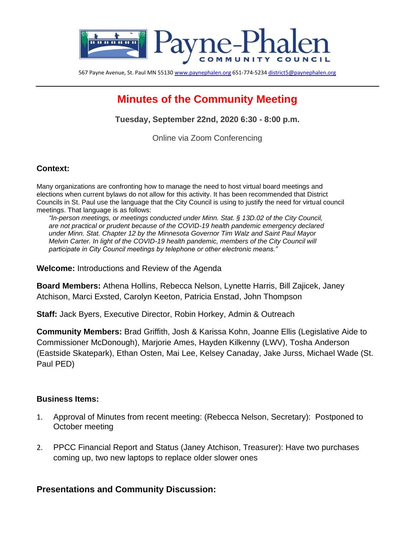

567 Payne Avenue, St. Paul MN 5513[0 www.paynephalen.org](http://www.paynephalen.org/) 651-774-523[4 district5@paynephalen.org](mailto:district5@paynephalen.org)

# **Minutes of the Community Meeting**

**Tuesday, September 22nd, 2020 6:30 - 8:00 p.m.**

Online via Zoom Conferencing

#### **Context:**

Many organizations are confronting how to manage the need to host virtual board meetings and elections when current bylaws do not allow for this activity. It has been recommended that District Councils in St. Paul use the language that the City Council is using to justify the need for virtual council meetings. That language is as follows:

*"In-person meetings, or meetings conducted under Minn. Stat. § 13D.02 of the City Council, are not practical or prudent because of the COVID-19 health pandemic emergency declared under Minn. Stat. Chapter 12 by the Minnesota Governor Tim Walz and Saint Paul Mayor Melvin Carter. In light of the COVID-19 health pandemic, members of the City Council will participate in City Council meetings by telephone or other electronic means."* 

**Welcome:** Introductions and Review of the Agenda

**Board Members:** Athena Hollins, Rebecca Nelson, Lynette Harris, Bill Zajicek, Janey Atchison, Marci Exsted, Carolyn Keeton, Patricia Enstad, John Thompson

**Staff:** Jack Byers, Executive Director, Robin Horkey, Admin & Outreach

**Community Members:** Brad Griffith, Josh & Karissa Kohn, Joanne Ellis (Legislative Aide to Commissioner McDonough), Marjorie Ames, Hayden Kilkenny (LWV), Tosha Anderson (Eastside Skatepark), Ethan Osten, Mai Lee, Kelsey Canaday, Jake Jurss, Michael Wade (St. Paul PED)

#### **Business Items:**

- 1. Approval of Minutes from recent meeting: (Rebecca Nelson, Secretary): Postponed to October meeting
- 2. PPCC Financial Report and Status (Janey Atchison, Treasurer): Have two purchases coming up, two new laptops to replace older slower ones

## **Presentations and Community Discussion:**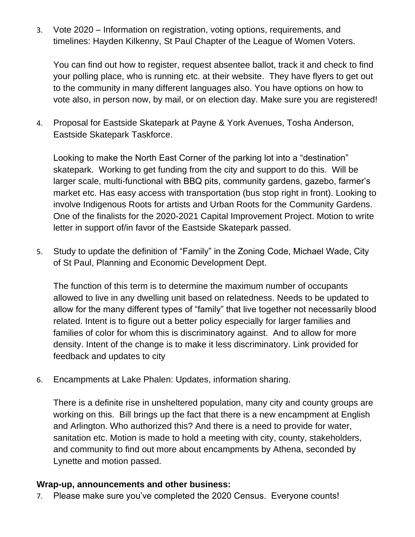3. Vote 2020 – Information on registration, voting options, requirements, and timelines: Hayden Kilkenny, St Paul Chapter of the League of Women Voters.

You can find out how to register, request absentee ballot, track it and check to find your polling place, who is running etc. at their website. They have flyers to get out to the community in many different languages also. You have options on how to vote also, in person now, by mail, or on election day. Make sure you are registered!

4. Proposal for Eastside Skatepark at Payne & York Avenues, Tosha Anderson, Eastside Skatepark Taskforce.

Looking to make the North East Corner of the parking lot into a "destination" skatepark. Working to get funding from the city and support to do this. Will be larger scale, multi-functional with BBQ pits, community gardens, gazebo, farmer's market etc. Has easy access with transportation (bus stop right in front). Looking to involve Indigenous Roots for artists and Urban Roots for the Community Gardens. One of the finalists for the 2020-2021 Capital Improvement Project. Motion to write letter in support of/in favor of the Eastside Skatepark passed.

5. Study to update the definition of "Family" in the Zoning Code, Michael Wade, City of St Paul, Planning and Economic Development Dept.

The function of this term is to determine the maximum number of occupants allowed to live in any dwelling unit based on relatedness. Needs to be updated to allow for the many different types of "family" that live together not necessarily blood related. Intent is to figure out a better policy especially for larger families and families of color for whom this is discriminatory against. And to allow for more density. Intent of the change is to make it less discriminatory. Link provided for feedback and updates to city

6. Encampments at Lake Phalen: Updates, information sharing.

There is a definite rise in unsheltered population, many city and county groups are working on this. Bill brings up the fact that there is a new encampment at English and Arlington. Who authorized this? And there is a need to provide for water, sanitation etc. Motion is made to hold a meeting with city, county, stakeholders, and community to find out more about encampments by Athena, seconded by Lynette and motion passed.

## **Wrap-up, announcements and other business:**

7. Please make sure you've completed the 2020 Census. Everyone counts!